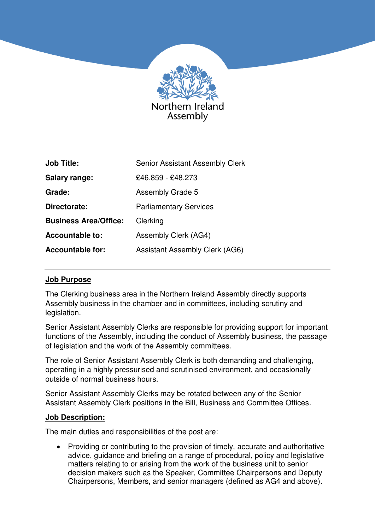

| <b>Job Title:</b>            | <b>Senior Assistant Assembly Clerk</b> |
|------------------------------|----------------------------------------|
| <b>Salary range:</b>         | £46,859 - £48,273                      |
| Grade:                       | <b>Assembly Grade 5</b>                |
| Directorate:                 | <b>Parliamentary Services</b>          |
| <b>Business Area/Office:</b> | Clerking                               |
| <b>Accountable to:</b>       | Assembly Clerk (AG4)                   |
| <b>Accountable for:</b>      | <b>Assistant Assembly Clerk (AG6)</b>  |

### **Job Purpose**

The Clerking business area in the Northern Ireland Assembly directly supports Assembly business in the chamber and in committees, including scrutiny and legislation.

Senior Assistant Assembly Clerks are responsible for providing support for important functions of the Assembly, including the conduct of Assembly business, the passage of legislation and the work of the Assembly committees.

The role of Senior Assistant Assembly Clerk is both demanding and challenging, operating in a highly pressurised and scrutinised environment, and occasionally outside of normal business hours.

Senior Assistant Assembly Clerks may be rotated between any of the Senior Assistant Assembly Clerk positions in the Bill, Business and Committee Offices.

#### **Job Description:**

The main duties and responsibilities of the post are:

• Providing or contributing to the provision of timely, accurate and authoritative advice, guidance and briefing on a range of procedural, policy and legislative matters relating to or arising from the work of the business unit to senior decision makers such as the Speaker, Committee Chairpersons and Deputy Chairpersons, Members, and senior managers (defined as AG4 and above).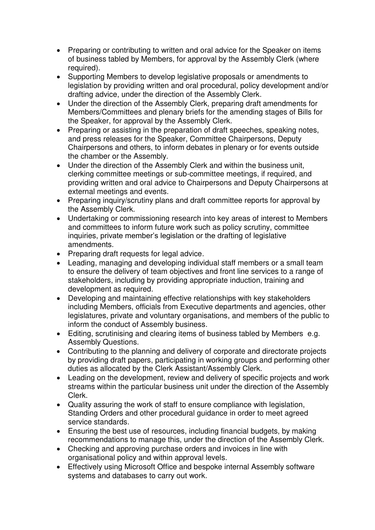- Preparing or contributing to written and oral advice for the Speaker on items of business tabled by Members, for approval by the Assembly Clerk (where required).
- Supporting Members to develop legislative proposals or amendments to legislation by providing written and oral procedural, policy development and/or drafting advice, under the direction of the Assembly Clerk.
- Under the direction of the Assembly Clerk, preparing draft amendments for Members/Committees and plenary briefs for the amending stages of Bills for the Speaker, for approval by the Assembly Clerk.
- Preparing or assisting in the preparation of draft speeches, speaking notes, and press releases for the Speaker, Committee Chairpersons, Deputy Chairpersons and others, to inform debates in plenary or for events outside the chamber or the Assembly.
- Under the direction of the Assembly Clerk and within the business unit, clerking committee meetings or sub-committee meetings, if required, and providing written and oral advice to Chairpersons and Deputy Chairpersons at external meetings and events.
- Preparing inquiry/scrutiny plans and draft committee reports for approval by the Assembly Clerk.
- Undertaking or commissioning research into key areas of interest to Members and committees to inform future work such as policy scrutiny, committee inquiries, private member's legislation or the drafting of legislative amendments.
- Preparing draft requests for legal advice.
- Leading, managing and developing individual staff members or a small team to ensure the delivery of team objectives and front line services to a range of stakeholders, including by providing appropriate induction, training and development as required.
- Developing and maintaining effective relationships with key stakeholders including Members, officials from Executive departments and agencies, other legislatures, private and voluntary organisations, and members of the public to inform the conduct of Assembly business.
- Editing, scrutinising and clearing items of business tabled by Members e.g. Assembly Questions.
- Contributing to the planning and delivery of corporate and directorate projects by providing draft papers, participating in working groups and performing other duties as allocated by the Clerk Assistant/Assembly Clerk.
- Leading on the development, review and delivery of specific projects and work streams within the particular business unit under the direction of the Assembly Clerk.
- Quality assuring the work of staff to ensure compliance with legislation, Standing Orders and other procedural guidance in order to meet agreed service standards.
- Ensuring the best use of resources, including financial budgets, by making recommendations to manage this, under the direction of the Assembly Clerk.
- Checking and approving purchase orders and invoices in line with organisational policy and within approval levels.
- Effectively using Microsoft Office and bespoke internal Assembly software systems and databases to carry out work.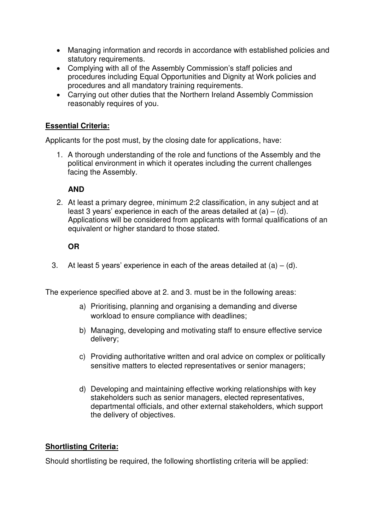- Managing information and records in accordance with established policies and statutory requirements.
- Complying with all of the Assembly Commission's staff policies and procedures including Equal Opportunities and Dignity at Work policies and procedures and all mandatory training requirements.
- Carrying out other duties that the Northern Ireland Assembly Commission reasonably requires of you.

### **Essential Criteria:**

Applicants for the post must, by the closing date for applications, have:

1. A thorough understanding of the role and functions of the Assembly and the political environment in which it operates including the current challenges facing the Assembly.

### **AND**

2. At least a primary degree, minimum 2:2 classification, in any subject and at least 3 years' experience in each of the areas detailed at  $(a) - (d)$ . Applications will be considered from applicants with formal qualifications of an equivalent or higher standard to those stated.

# **OR**

3. At least 5 years' experience in each of the areas detailed at  $(a) - (d)$ .

The experience specified above at 2. and 3. must be in the following areas:

- a) Prioritising, planning and organising a demanding and diverse workload to ensure compliance with deadlines;
- b) Managing, developing and motivating staff to ensure effective service delivery;
- c) Providing authoritative written and oral advice on complex or politically sensitive matters to elected representatives or senior managers;
- d) Developing and maintaining effective working relationships with key stakeholders such as senior managers, elected representatives, departmental officials, and other external stakeholders, which support the delivery of objectives.

### **Shortlisting Criteria:**

Should shortlisting be required, the following shortlisting criteria will be applied: